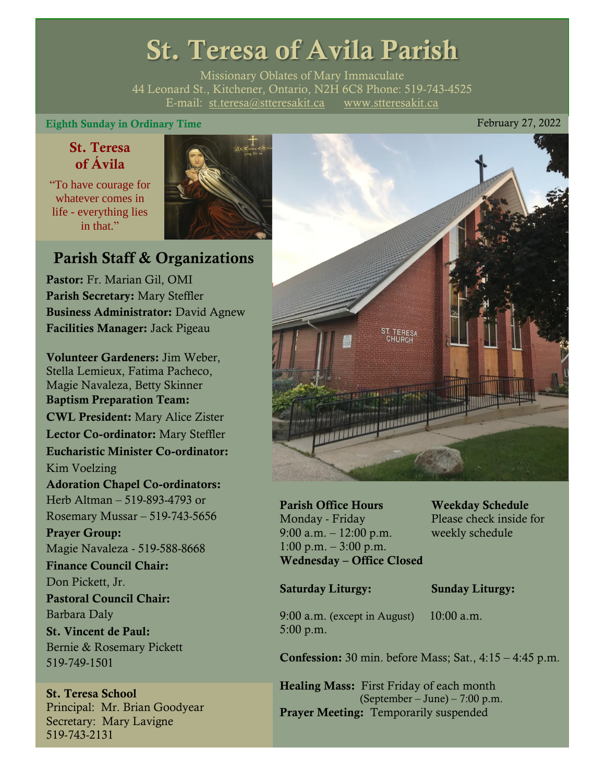# St. Teresa of Avila Parish

Missionary Oblates of Mary Immaculate 44 Leonard St., Kitchener, Ontario, N2H 6C8 Phone: 519-743-4525 E-mail: [st.teresa@stteresakit.ca](mailto:st.teresa@stteresakit.ca) [www.stteresakit.ca](http://www.stteresakit.ca/)

#### Eighth Sunday in Ordinary Time **February 27, 2022**

# St. Teresa of Ávila

"To have courage for whatever comes in life - everything lies in that"



# Parish Staff & Organizations

Pastor: Fr. Marian Gil, OMI Parish Secretary: Mary Steffler Business Administrator: David Agnew Facilities Manager: Jack Pigeau

Volunteer Gardeners: Jim Weber, Stella Lemieux, Fatima Pacheco, Magie Navaleza, Betty Skinner Baptism Preparation Team: CWL President: Mary Alice Zister Lector Co-ordinator: Mary Steffler Eucharistic Minister Co-ordinator: Kim Voelzing Adoration Chapel Co-ordinators: Herb Altman – 519-893-4793 or Rosemary Mussar – 519-743-5656 Prayer Group: Magie Navaleza - 519-588-8668 Finance Council Chair: Don Pickett, Jr. Pastoral Council Chair: Barbara Daly St. Vincent de Paul: Bernie & Rosemary Pickett 519-749-1501

#### St. Teresa School Principal: Mr. Brian Goodyear Secretary: Mary Lavigne 519-743-2131



Parish Office Hours Weekday Schedule Monday - Friday Please check inside for 9:00 a.m. – 12:00 p.m. weekly schedule  $1:00 \text{ p.m.} - 3:00 \text{ p.m.}$ Wednesday – Office Closed

#### Saturday Liturgy: Sunday Liturgy:

9:00 a.m. (except in August) 10:00 a.m. 5:00 p.m.

Confession: 30 min. before Mass; Sat., 4:15 – 4:45 p.m.

Healing Mass: First Friday of each month (September – June) – 7:00 p.m. Prayer Meeting: Temporarily suspended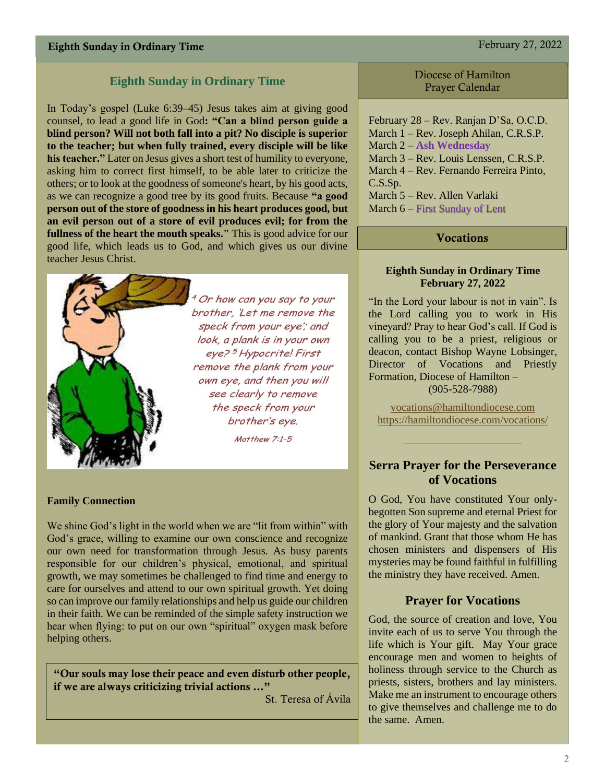# Eighth Sunday in Ordinary Time February 27, 2022

### **Eighth Sunday in Ordinary Time**

In Today's gospel (Luke 6:39–45) Jesus takes aim at giving good counsel, to lead a good life in God**: "Can a blind person guide a blind person? Will not both fall into a pit? No disciple is superior to the teacher; but when fully trained, every disciple will be like his teacher."** Later on Jesus gives a short test of humility to everyone, asking him to correct first himself, to be able later to criticize the others; or to look at the goodness of someone's heart, by his good acts, as we can recognize a good tree by its good fruits. Because **"a good person out of the store of goodness in his heart produces good, but an evil person out of a store of evil produces evil; for from the fullness of the heart the mouth speaks."** This is good advice for our good life, which leads us to God, and which gives us our divine teacher Jesus Christ.



<sup>4</sup> Or how can you say to your brother, 'Let me remove the speck from your eye'; and look, a plank is in your own eye?<sup>5</sup> Hypocrite! First remove the plank from your own eye, and then you will see clearly to remove the speck from your brother's eye.

Matthew 7:1-5

#### **Family Connection**

We shine God's light in the world when we are "lit from within" with God's grace, willing to examine our own conscience and recognize our own need for transformation through Jesus. As busy parents responsible for our children's physical, emotional, and spiritual growth, we may sometimes be challenged to find time and energy to care for ourselves and attend to our own spiritual growth. Yet doing so can improve our family relationships and help us guide our children in their faith. We can be reminded of the simple safety instruction we hear when flying: to put on our own "spiritual" oxygen mask before helping others.

"Our souls may lose their peace and even disturb other people, if we are always criticizing trivial actions …"

St. Teresa of Ávila

#### Diocese of Hamilton Prayer Calendar

February 28 – Rev. Ranjan D'Sa, O.C.D. March 1 – Rev. Joseph Ahilan, C.R.S.P. March 2 – **Ash Wednesday** March 3 – Rev. Louis Lenssen, C.R.S.P. March 4 – Rev. Fernando Ferreira Pinto, C.S.Sp. March 5 – Rev. Allen Varlaki March 6 – First Sunday of Lent

#### Vocations

#### **Eighth Sunday in Ordinary Time February 27, 2022**

"In the Lord your labour is not in vain". Is the Lord calling you to work in His vineyard? Pray to hear God's call. If God is calling you to be a priest, religious or deacon, contact Bishop Wayne Lobsinger, Director of Vocations and Priestly Formation, Diocese of Hamilton – (905-528-7988)

[vocations@hamiltondiocese.com](mailto:vocations@hamiltondiocese.com)  <https://hamiltondiocese.com/vocations/>

#### **Serra Prayer for the Perseverance of Vocations**

O God, You have constituted Your onlybegotten Son supreme and eternal Priest for the glory of Your majesty and the salvation of mankind. Grant that those whom He has chosen ministers and dispensers of His mysteries may be found faithful in fulfilling the ministry they have received. Amen.

#### **Prayer for Vocations**

God, the source of creation and love, You invite each of us to serve You through the life which is Your gift. May Your grace encourage men and women to heights of holiness through service to the Church as priests, sisters, brothers and lay ministers. Make me an instrument to encourage others to give themselves and challenge me to do the same. Amen.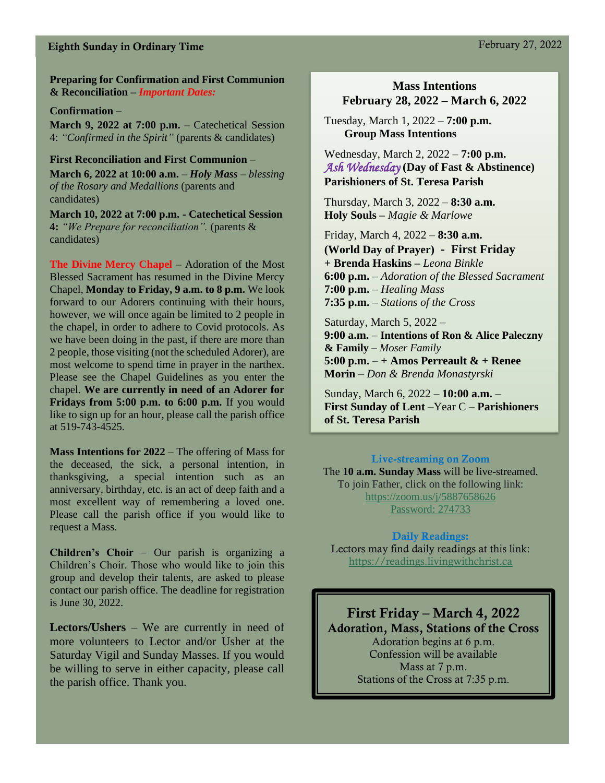# Eighth Sunday in Ordinary Time February 27, 2022

**Preparing for Confirmation and First Communion & Reconciliation –** *Important Dates:*

#### **Confirmation –**

**March 9, 2022 at 7:00 p.m.** – Catechetical Session 4: *"Confirmed in the Spirit"* (parents & candidates)

**First Reconciliation and First Communion** – **March 6, 2022 at 10:00 a.m.** *– Holy Mass – blessing of the Rosary and Medallions* (parents and candidates)

**March 10, 2022 at 7:00 p.m. - Catechetical Session 4:** *"We Prepare for reconciliation".* (parents & candidates)

**The Divine Mercy Chapel** – Adoration of the Most Blessed Sacrament has resumed in the Divine Mercy Chapel, **Monday to Friday, 9 a.m. to 8 p.m.** We look forward to our Adorers continuing with their hours, however, we will once again be limited to 2 people in the chapel, in order to adhere to Covid protocols. As we have been doing in the past, if there are more than 2 people, those visiting (not the scheduled Adorer), are most welcome to spend time in prayer in the narthex. Please see the Chapel Guidelines as you enter the chapel. **We are currently in need of an Adorer for Fridays from 5:00 p.m. to 6:00 p.m.** If you would like to sign up for an hour, please call the parish office at 519-743-4525.

**Mass Intentions for 2022** – The offering of Mass for the deceased, the sick, a personal intention, in thanksgiving, a special intention such as an anniversary, birthday, etc. is an act of deep faith and a most excellent way of remembering a loved one. Please call the parish office if you would like to request a Mass.

**Children's Choir** – Our parish is organizing a Children's Choir. Those who would like to join this group and develop their talents, are asked to please contact our parish office. The deadline for registration is June 30, 2022.

**Lectors/Ushers** – We are currently in need of more volunteers to Lector and/or Usher at the Saturday Vigil and Sunday Masses. If you would be willing to serve in either capacity, please call the parish office. Thank you.

#### **Mass Intentions February 28, 2022 – March 6, 2022**

Tuesday, March 1, 2022 – **7:00 p.m. Group Mass Intentions**

Wednesday, March 2, 2022 – **7:00 p.m.**  *Ash Wednesday* **(Day of Fast & Abstinence) Parishioners of St. Teresa Parish**

Thursday, March 3, 2022 – **8:30 a.m. Holy Souls –** *Magie & Marlowe*

Friday, March 4, 2022 – **8:30 a.m. (World Day of Prayer) - First Friday + Brenda Haskins –** *Leona Binkle* **6:00 p.m.** – *Adoration of the Blessed Sacrament* **7:00 p.m.** – *Healing Mass* **7:35 p.m.** – *Stations of the Cross*

Saturday, March 5, 2022 – **9:00 a.m.** – **Intentions of Ron & Alice Paleczny & Family –** *Moser Family* **5:00 p.m.** – **+ Amos Perreault & + Renee Morin** – *Don & Brenda Monastyrski*

Sunday, March 6, 2022 – **10:00 a.m.** – **First Sunday of Lent** –Year C – **Parishioners of St. Teresa Parish** 

Live-streaming on Zoom The **10 a.m. Sunday Mass** will be live-streamed. To join Father, click on the following link: <https://zoom.us/j/5887658626> Password: 274733

#### Daily Readings:

Lectors may find daily readings at this link: [https://readings.livingwithchrist.ca](https://readings.livingwithchrist.ca/)

First Friday – March 4, 2022 Adoration, Mass, Stations of the Cross Adoration begins at 6 p.m. Confession will be available Mass at 7 p.m. Stations of the Cross at 7:35 p.m.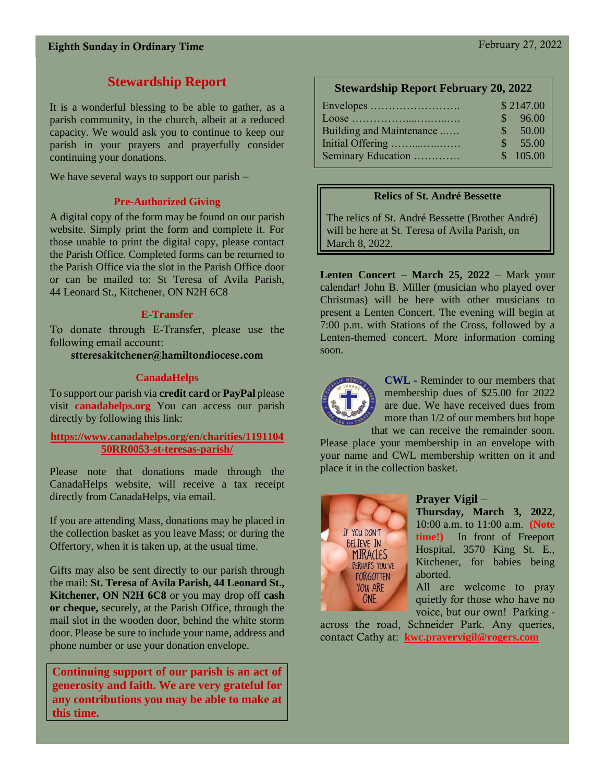# **Stewardship Report**

It is a wonderful blessing to be able to gather, as a parish community, in the church, albeit at a reduced capacity. We would ask you to continue to keep our parish in your prayers and prayerfully consider continuing your donations.

We have several ways to support our parish –

# **Pre-Authorized Giving**

A digital copy of the form may be found on our parish website. Simply print the form and complete it. For those unable to print the digital copy, please contact the Parish Office. Completed forms can be returned to the Parish Office via the slot in the Parish Office door or can be mailed to: St Teresa of Avila Parish, 44 Leonard St., Kitchener, ON N2H 6C8

# **E-Transfer**

To donate through E-Transfer, please use the following email account:

stteresakitchener@hamiltondiocese.com

# **CanadaHelps**

To support our parish via **credit card** or **PayPal** please visit **canadahelps.org** You can access our parish directly by following this link:

#### **[https://www.canadahelps.org/en/charities/1191104](https://www.canadahelps.org/en/charities/119110450RR0053-st-teresas-parish/) [50RR0053-st-teresas-parish/](https://www.canadahelps.org/en/charities/119110450RR0053-st-teresas-parish/)**

Please note that donations made through the CanadaHelps website, will receive a tax receipt directly from CanadaHelps, via email.

If you are attending Mass, donations may be placed in the collection basket as you leave Mass; or during the Offertory, when it is taken up, at the usual time.

Gifts may also be sent directly to our parish through the mail: **St. Teresa of Avila Parish, 44 Leonard St., Kitchener, ON N2H 6C8** or you may drop off **cash or cheque,** securely, at the Parish Office, through the mail slot in the wooden door, behind the white storm door. Please be sure to include your name, address and phone number or use your donation envelope.

**Continuing support of our parish is an act of generosity and faith. We are very grateful for any contributions you may be able to make at this time.**

# **Stewardship Report February 20, 2022**

| Envelopes                | \$2147.00     |          |
|--------------------------|---------------|----------|
|                          | $\mathcal{S}$ | 96.00    |
| Building and Maintenance | S.            | 50.00    |
| Initial Offering         | $\mathcal{S}$ | 55.00    |
| Seminary Education       |               | \$105.00 |
|                          |               |          |

# **Relics of St. André Bessette**

The relics of St. André Bessette (Brother André) will be here at St. Teresa of Avila Parish, on March 8, 2022.

**Lenten Concert – March 25, 2022** – Mark your calendar! John B. Miller (musician who played over Christmas) will be here with other musicians to present a Lenten Concert. The evening will begin at 7:00 p.m. with Stations of the Cross, followed by a Lenten-themed concert. More information coming soon.



**CWL -** Reminder to our members that membership dues of \$25.00 for 2022 are due. We have received dues from more than 1/2 of our members but hope that we can receive the remainder soon.

Please place your membership in an envelope with your name and CWL membership written on it and place it in the collection basket.



### **Prayer Vigil** –

**Thursday, March 3, 2022**, 10:00 a.m. to 11:00 a.m. **(Note time!)** In front of Freeport Hospital, 3570 King St. E., Kitchener, for babies being aborted.

All are welcome to pray quietly for those who have no voice, but our own! Parking -

across the road, Schneider Park. Any queries, contact Cathy at: **[kwc.prayervigil@rogers.com](mailto:kwc.prayervigil@rogers.com)**